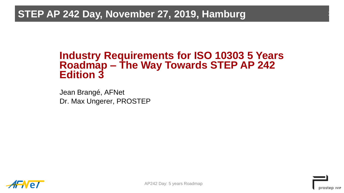## **STEP AP 242 Day, November 27, 2019, Hamburg**

## **Industry Requirements for ISO 10303 5 Years Roadmap – The Way Towards STEP AP 242 Edition 3**

Jean Brangé, AFNet Dr. Max Ungerer, PROSTEP





1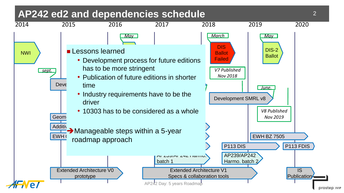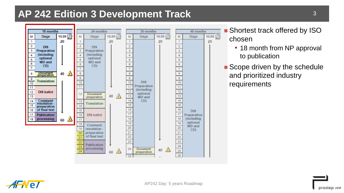## **AP 242 Edition 3 Development Track**



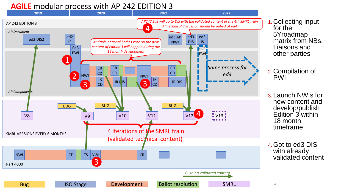## **AGILE** modular process with AP 242 EDITION 3



- 1. Collecting input for the 5Yroadmap matrix from NBs, Liaisons and other parties
- 2. Compilation of
- 3. Launch NWIs for new content and develop/publish Edition 3 within 18 month timeframe
- 4.Got to ed3 DIS with already validated content